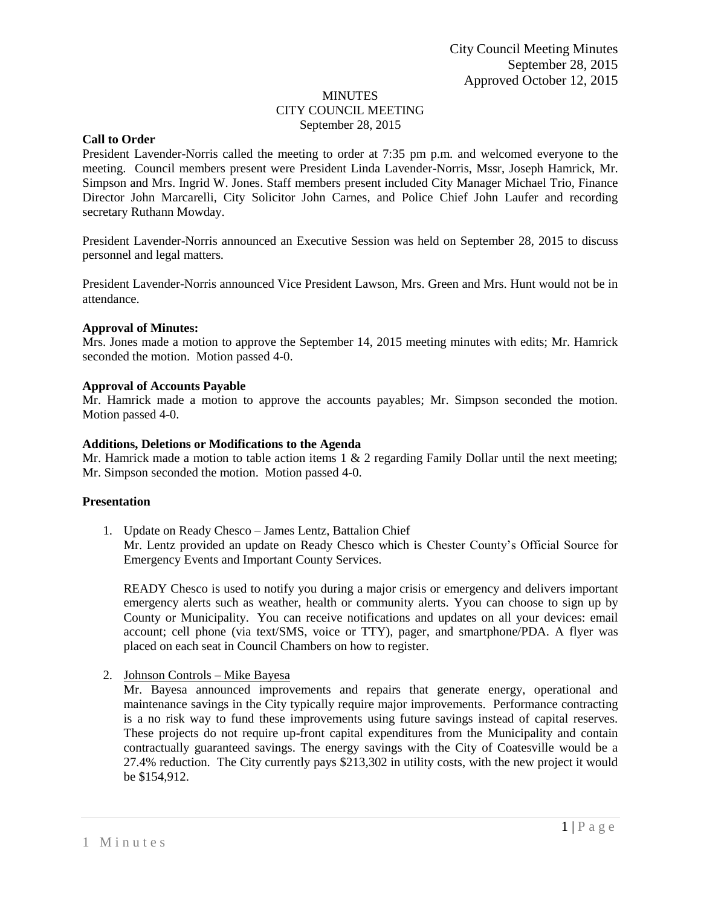## MINUTES CITY COUNCIL MEETING September 28, 2015

### **Call to Order**

President Lavender-Norris called the meeting to order at 7:35 pm p.m. and welcomed everyone to the meeting. Council members present were President Linda Lavender-Norris, Mssr, Joseph Hamrick, Mr. Simpson and Mrs. Ingrid W. Jones. Staff members present included City Manager Michael Trio, Finance Director John Marcarelli, City Solicitor John Carnes, and Police Chief John Laufer and recording secretary Ruthann Mowday.

President Lavender-Norris announced an Executive Session was held on September 28, 2015 to discuss personnel and legal matters.

President Lavender-Norris announced Vice President Lawson, Mrs. Green and Mrs. Hunt would not be in attendance.

#### **Approval of Minutes:**

Mrs. Jones made a motion to approve the September 14, 2015 meeting minutes with edits; Mr. Hamrick seconded the motion. Motion passed 4-0.

#### **Approval of Accounts Payable**

Mr. Hamrick made a motion to approve the accounts payables; Mr. Simpson seconded the motion. Motion passed 4-0.

#### **Additions, Deletions or Modifications to the Agenda**

Mr. Hamrick made a motion to table action items  $1 \& 2$  regarding Family Dollar until the next meeting; Mr. Simpson seconded the motion. Motion passed 4-0.

#### **Presentation**

1. Update on Ready Chesco – James Lentz, Battalion Chief Mr. Lentz provided an update on Ready Chesco which is Chester County's Official Source for Emergency Events and Important County Services.

READY Chesco is used to notify you during a major crisis or emergency and delivers important emergency alerts such as weather, health or community alerts. Yyou can choose to sign up by County or Municipality. You can receive notifications and updates on all your devices: email account; cell phone (via text/SMS, voice or TTY), pager, and smartphone/PDA. A flyer was placed on each seat in Council Chambers on how to register.

2. Johnson Controls – Mike Bayesa

Mr. Bayesa announced improvements and repairs that generate energy, operational and maintenance savings in the City typically require major improvements. Performance contracting is a no risk way to fund these improvements using future savings instead of capital reserves. These projects do not require up-front capital expenditures from the Municipality and contain contractually guaranteed savings. The energy savings with the City of Coatesville would be a 27.4% reduction. The City currently pays \$213,302 in utility costs, with the new project it would be \$154,912.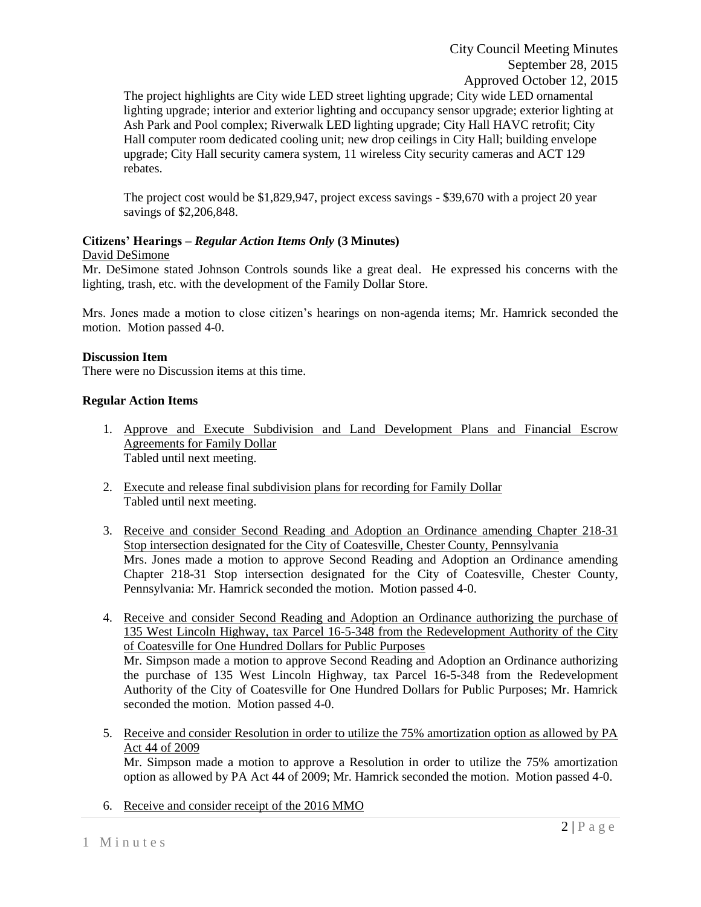The project highlights are City wide LED street lighting upgrade; City wide LED ornamental lighting upgrade; interior and exterior lighting and occupancy sensor upgrade; exterior lighting at Ash Park and Pool complex; Riverwalk LED lighting upgrade; City Hall HAVC retrofit; City Hall computer room dedicated cooling unit; new drop ceilings in City Hall; building envelope upgrade; City Hall security camera system, 11 wireless City security cameras and ACT 129 rebates.

The project cost would be \$1,829,947, project excess savings - \$39,670 with a project 20 year savings of \$2,206,848.

# **Citizens' Hearings –** *Regular Action Items Only* **(3 Minutes)**

## David DeSimone

Mr. DeSimone stated Johnson Controls sounds like a great deal. He expressed his concerns with the lighting, trash, etc. with the development of the Family Dollar Store.

Mrs. Jones made a motion to close citizen's hearings on non-agenda items; Mr. Hamrick seconded the motion. Motion passed 4-0.

## **Discussion Item**

There were no Discussion items at this time.

## **Regular Action Items**

- 1. Approve and Execute Subdivision and Land Development Plans and Financial Escrow Agreements for Family Dollar Tabled until next meeting.
- 2. Execute and release final subdivision plans for recording for Family Dollar Tabled until next meeting.
- 3. Receive and consider Second Reading and Adoption an Ordinance amending Chapter 218-31 Stop intersection designated for the City of Coatesville, Chester County, Pennsylvania Mrs. Jones made a motion to approve Second Reading and Adoption an Ordinance amending Chapter 218-31 Stop intersection designated for the City of Coatesville, Chester County, Pennsylvania: Mr. Hamrick seconded the motion. Motion passed 4-0.
- 4. Receive and consider Second Reading and Adoption an Ordinance authorizing the purchase of 135 West Lincoln Highway, tax Parcel 16-5-348 from the Redevelopment Authority of the City of Coatesville for One Hundred Dollars for Public Purposes Mr. Simpson made a motion to approve Second Reading and Adoption an Ordinance authorizing the purchase of 135 West Lincoln Highway, tax Parcel 16-5-348 from the Redevelopment Authority of the City of Coatesville for One Hundred Dollars for Public Purposes; Mr. Hamrick seconded the motion. Motion passed 4-0.
- 5. Receive and consider Resolution in order to utilize the 75% amortization option as allowed by PA Act 44 of 2009

Mr. Simpson made a motion to approve a Resolution in order to utilize the 75% amortization option as allowed by PA Act 44 of 2009; Mr. Hamrick seconded the motion. Motion passed 4-0.

6. Receive and consider receipt of the 2016 MMO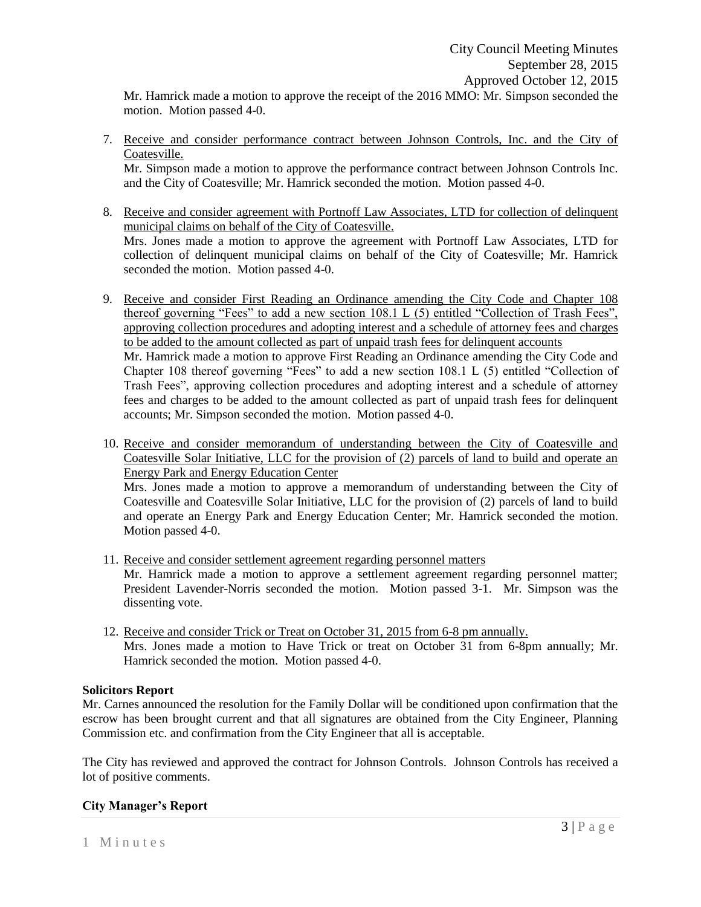Mr. Hamrick made a motion to approve the receipt of the 2016 MMO: Mr. Simpson seconded the motion. Motion passed 4-0.

7. Receive and consider performance contract between Johnson Controls, Inc. and the City of Coatesville.

Mr. Simpson made a motion to approve the performance contract between Johnson Controls Inc. and the City of Coatesville; Mr. Hamrick seconded the motion. Motion passed 4-0.

- 8. Receive and consider agreement with Portnoff Law Associates, LTD for collection of delinquent municipal claims on behalf of the City of Coatesville. Mrs. Jones made a motion to approve the agreement with Portnoff Law Associates, LTD for collection of delinquent municipal claims on behalf of the City of Coatesville; Mr. Hamrick seconded the motion. Motion passed 4-0.
- 9. Receive and consider First Reading an Ordinance amending the City Code and Chapter 108 thereof governing "Fees" to add a new section 108.1 L (5) entitled "Collection of Trash Fees", approving collection procedures and adopting interest and a schedule of attorney fees and charges to be added to the amount collected as part of unpaid trash fees for delinquent accounts Mr. Hamrick made a motion to approve First Reading an Ordinance amending the City Code and Chapter 108 thereof governing "Fees" to add a new section 108.1 L (5) entitled "Collection of Trash Fees", approving collection procedures and adopting interest and a schedule of attorney fees and charges to be added to the amount collected as part of unpaid trash fees for delinquent accounts; Mr. Simpson seconded the motion. Motion passed 4-0.
- 10. Receive and consider memorandum of understanding between the City of Coatesville and Coatesville Solar Initiative, LLC for the provision of (2) parcels of land to build and operate an Energy Park and Energy Education Center

Mrs. Jones made a motion to approve a memorandum of understanding between the City of Coatesville and Coatesville Solar Initiative, LLC for the provision of (2) parcels of land to build and operate an Energy Park and Energy Education Center; Mr. Hamrick seconded the motion. Motion passed 4-0.

- 11. Receive and consider settlement agreement regarding personnel matters Mr. Hamrick made a motion to approve a settlement agreement regarding personnel matter; President Lavender-Norris seconded the motion. Motion passed 3-1. Mr. Simpson was the dissenting vote.
- 12. Receive and consider Trick or Treat on October 31, 2015 from 6-8 pm annually. Mrs. Jones made a motion to Have Trick or treat on October 31 from 6-8pm annually; Mr. Hamrick seconded the motion. Motion passed 4-0.

## **Solicitors Report**

Mr. Carnes announced the resolution for the Family Dollar will be conditioned upon confirmation that the escrow has been brought current and that all signatures are obtained from the City Engineer, Planning Commission etc. and confirmation from the City Engineer that all is acceptable.

The City has reviewed and approved the contract for Johnson Controls. Johnson Controls has received a lot of positive comments.

# **City Manager's Report**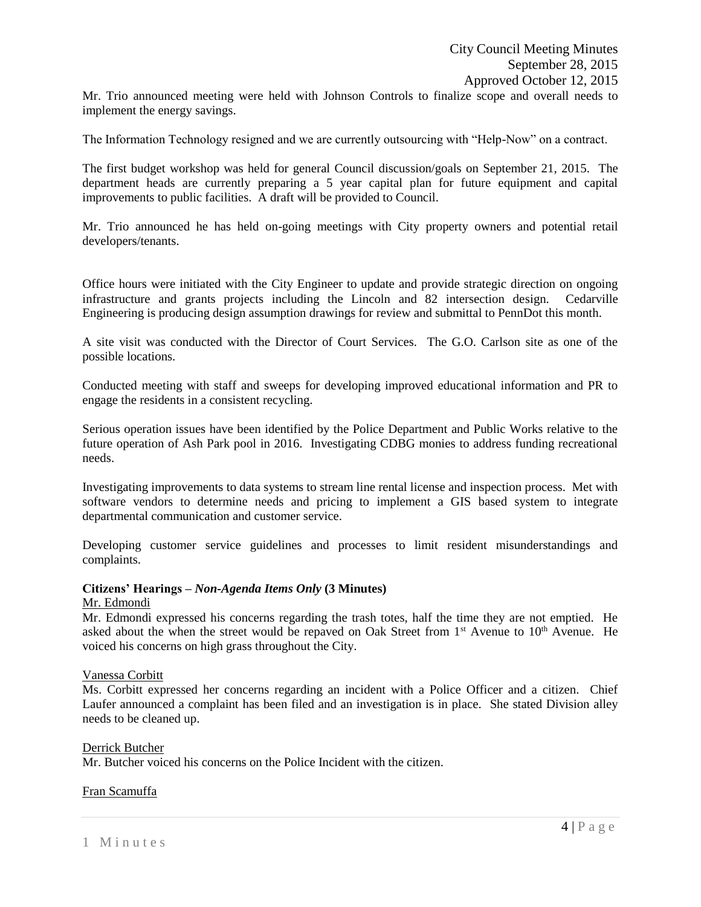Mr. Trio announced meeting were held with Johnson Controls to finalize scope and overall needs to implement the energy savings.

The Information Technology resigned and we are currently outsourcing with "Help-Now" on a contract.

The first budget workshop was held for general Council discussion/goals on September 21, 2015. The department heads are currently preparing a 5 year capital plan for future equipment and capital improvements to public facilities. A draft will be provided to Council.

Mr. Trio announced he has held on-going meetings with City property owners and potential retail developers/tenants.

Office hours were initiated with the City Engineer to update and provide strategic direction on ongoing infrastructure and grants projects including the Lincoln and 82 intersection design. Cedarville Engineering is producing design assumption drawings for review and submittal to PennDot this month.

A site visit was conducted with the Director of Court Services. The G.O. Carlson site as one of the possible locations.

Conducted meeting with staff and sweeps for developing improved educational information and PR to engage the residents in a consistent recycling.

Serious operation issues have been identified by the Police Department and Public Works relative to the future operation of Ash Park pool in 2016. Investigating CDBG monies to address funding recreational needs.

Investigating improvements to data systems to stream line rental license and inspection process. Met with software vendors to determine needs and pricing to implement a GIS based system to integrate departmental communication and customer service.

Developing customer service guidelines and processes to limit resident misunderstandings and complaints.

#### **Citizens' Hearings –** *Non-Agenda Items Only* **(3 Minutes)**

#### Mr. Edmondi

Mr. Edmondi expressed his concerns regarding the trash totes, half the time they are not emptied. He asked about the when the street would be repaved on Oak Street from  $1<sup>st</sup>$  Avenue to  $10<sup>th</sup>$  Avenue. He voiced his concerns on high grass throughout the City.

#### Vanessa Corbitt

Ms. Corbitt expressed her concerns regarding an incident with a Police Officer and a citizen. Chief Laufer announced a complaint has been filed and an investigation is in place. She stated Division alley needs to be cleaned up.

#### Derrick Butcher

Mr. Butcher voiced his concerns on the Police Incident with the citizen.

#### Fran Scamuffa